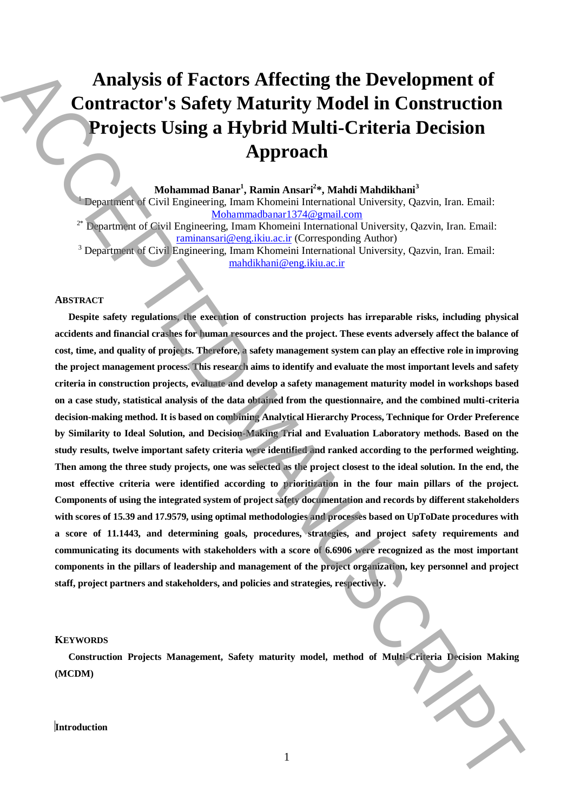# **Analysis of Factors Affecting the Development of Contractor's Safety Maturity Model in Construction Projects Using a Hybrid Multi-Criteria Decision Approach**

**Mohammad Banar<sup>1</sup> , Ramin Ansari<sup>2</sup> \*, Mahdi Mahdikhani<sup>3</sup>**

<sup>1</sup> Department of Civil Engineering, Imam Khomeini International University, Qazvin, Iran. Email: Mohammadbanar1374@gmail.com

<sup>2\*</sup> Department of Civil Engineering, Imam Khomeini International University, Qazvin, Iran. Email: raminansari@eng.ikiu.ac.ir (Corresponding Author)

<sup>3</sup> Department of Civil Engineering, Imam Khomeini International University, Qazvin, Iran. Email: mahdikhani@eng.ikiu.ac.ir

## **ABSTRACT**

**Despite safety regulations, the execution of construction projects has irreparable risks, including physical accidents and financial crashes for human resources and the project. These events adversely affect the balance of cost, time, and quality of projects. Therefore, a safety management system can play an effective role in improving the project management process. This research aims to identify and evaluate the most important levels and safety criteria in construction projects, evaluate and develop a safety management maturity model in workshops based on a case study, statistical analysis of the data obtained from the questionnaire, and the combined multi-criteria decision-making method. It is based on combining Analytical Hierarchy Process, Technique for Order Preference by Similarity to Ideal Solution, and Decision-Making Trial and Evaluation Laboratory methods. Based on the study results, twelve important safety criteria were identified and ranked according to the performed weighting. Then among the three study projects, one was selected as the project closest to the ideal solution. In the end, the most effective criteria were identified according to prioritization in the four main pillars of the project. Components of using the integrated system of project safety documentation and records by different stakeholders with scores of 15.39 and 17.9579, using optimal methodologies and processes based on UpToDate procedures with a score of 11.1443, and determining goals, procedures, strategies, and project safety requirements and communicating its documents with stakeholders with a score of 6.6906 were recognized as the most important components in the pillars of leadership and management of the project organization, key personnel and project staff, project partners and stakeholders, and policies and strategies, respectively. International State of Factors Affecting the Development of Construction**<br> **Introduction** Applied Multi-Criteria Decision<br> **International Multi-Criteria Decision**<br> **IM[P](mailto:raminansari@eng.ikiu.ac.ir)ORAL MULTI-Criteria Decision**<br> **IMPORAL MULTI-CRIPT (** 

### **KEYWORDS**

**Construction Projects Management, Safety maturity model, method of Multi-Criteria Decision Making (MCDM)**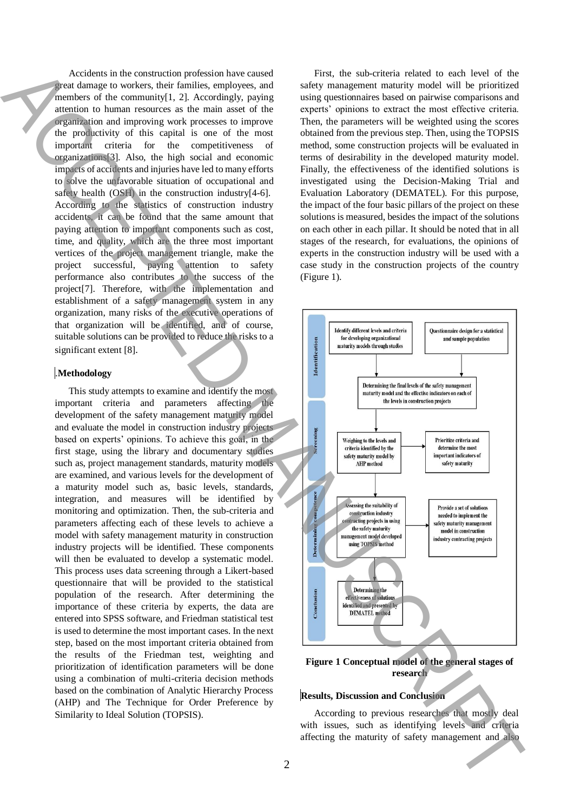Accidents in the construction profession have caused great damage to workers, their families, employees, and members of the community[1, 2]. Accordingly, paying attention to human resources as the main asset of the organization and improving work processes to improve the productivity of this capital is one of the most important criteria for the competitiveness of organizations[3]. Also, the high social and economic impacts of accidents and injuries have led to many efforts to solve the unfavorable situation of occupational and safety health (OSH) in the construction industry[4-6]. According to the statistics of construction industry accidents, it can be found that the same amount that paying attention to important components such as cost, time, and quality, which are the three most important vertices of the project management triangle, make the project successful, paying attention to safety performance also contributes to the success of the project[7]. Therefore, with the implementation and establishment of a safety management system in any organization, many risks of the executive operations of that organization will be identified, and of course, suitable solutions can be provided to reduce the risks to a significant extent [8].

## .**Methodology**

This study attempts to examine and identify the most important criteria and parameters affecting the development of the safety management maturity model and evaluate the model in construction industry projects based on experts' opinions. To achieve this goal, in the first stage, using the library and documentary studies such as, project management standards, maturity models are examined, and various levels for the development of a maturity model such as, basic levels, standards, integration, and measures will be identified by monitoring and optimization. Then, the sub-criteria and parameters affecting each of these levels to achieve a model with safety management maturity in construction industry projects will be identified. These components will then be evaluated to develop a systematic model. This process uses data screening through a Likert-based questionnaire that will be provided to the statistical population of the research. After determining the importance of these criteria by experts, the data are entered into SPSS software, and Friedman statistical test is used to determine the most important cases. In the next step, based on the most important criteria obtained from the results of the Friedman test, weighting and prioritization of identification parameters will be done using a combination of multi-criteria decision methods based on the combination of Analytic Hierarchy Process (AHP) and The Technique for Order Preference by Similarity to Ideal Solution (TOPSIS).

First, the sub-criteria related to each level of the safety management maturity model will be prioritized using questionnaires based on pairwise comparisons and experts' opinions to extract the most effective criteria. Then, the parameters will be weighted using the scores obtained from the previous step. Then, using the TOPSIS method, some construction projects will be evaluated in terms of desirability in the developed maturity model. Finally, the effectiveness of the identified solutions is investigated using the Decision-Making Trial and Evaluation Laboratory (DEMATEL). For this purpose, the impact of the four basic pillars of the project on these solutions is measured, besides the impact of the solutions on each other in each pillar. It should be noted that in all stages of the research, for evaluations, the opinions of experts in the construction industry will be used with a case study in the construction projects of the country (Figure 1).



**Figure 1 Conceptual model of the general stages of research**

### **Results, Discussion and Conclusion**

According to previous researches that mostly deal with issues, such as identifying levels and criteria